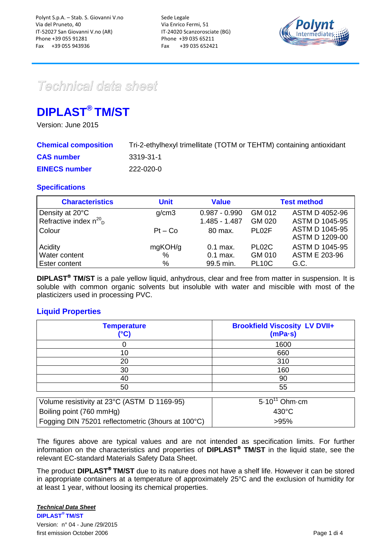

# Technical data sheet

## **DIPLAST® TM/ST**

Version: June 2015

| <b>Chemical composition</b> | Tri-2-ethylhexyl trimellitate (TOTM or TEHTM) containing antioxidant |
|-----------------------------|----------------------------------------------------------------------|
| <b>CAS number</b>           | -3319-31-1                                                           |
| <b>EINECS number</b>        | 222-020-0                                                            |

## **Specifications**

| <b>Characteristics</b>                                    | <b>Unit</b> | <b>Value</b>                     |                    | <b>Test method</b>                             |
|-----------------------------------------------------------|-------------|----------------------------------|--------------------|------------------------------------------------|
| Density at 20°C<br>Refractive index $n^{20}$ <sub>D</sub> | g/cm3       | $0.987 - 0.990$<br>1.485 - 1.487 | GM 012<br>GM 020   | ASTM D 4052-96<br><b>ASTM D 1045-95</b>        |
| Colour                                                    | $Pt - Co$   | 80 max.                          | PL <sub>02</sub> F | <b>ASTM D 1045-95</b><br><b>ASTM D 1209-00</b> |
| Acidity                                                   | mgKOH/g     | $0.1$ max.                       | PL02C              | <b>ASTM D 1045-95</b>                          |
| Water content                                             | $\%$        | $0.1$ max.                       | GM 010             | ASTM E 203-96                                  |
| Ester content                                             | $\%$        | 99.5 min.                        | <b>PL10C</b>       | G.C.                                           |

**DIPLAST<sup>®</sup> TM/ST** is a pale yellow liquid, anhydrous, clear and free from matter in suspension. It is soluble with common organic solvents but insoluble with water and miscible with most of the plasticizers used in processing PVC.

## **Liquid Properties**

| <b>Temperature</b><br>(°C) | <b>Brookfield Viscosity LV DVII+</b><br>$(mPa-s)$ |
|----------------------------|---------------------------------------------------|
|                            | 1600                                              |
| 10                         | 660                                               |
| 20                         | 310                                               |
| 30                         | 160                                               |
| 40                         | 90                                                |
| 50                         | 55                                                |
|                            |                                                   |

| Volume resistivity at 23°C (ASTM D 1169-95)        | 5.10 <sup>11</sup> Ohm cm |
|----------------------------------------------------|---------------------------|
| Boiling point (760 mmHg)                           | $430^{\circ}$ C           |
| Fogging DIN 75201 reflectometric (3hours at 100°C) | >95%                      |

The figures above are typical values and are not intended as specification limits. For further information on the characteristics and properties of **DIPLAST<sup>®</sup> TM/ST** in the liquid state, see the relevant EC-standard Materials Safety Data Sheet.

The product **DIPLAST<sup>®</sup> TM/ST** due to its nature does not have a shelf life. However it can be stored in appropriate containers at a temperature of approximately 25°C and the exclusion of humidity for at least 1 year, without loosing its chemical properties.

#### *Technical Data Sheet*

**DIPLAST® TM/ST**  Version: n° 04 - June /29/2015 first emission October 2006 Page 1 di 4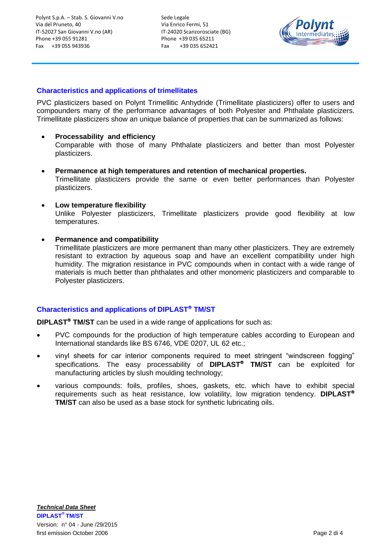Sede Legale Via Enrico Fermi, 51 IT-24020 Scanzorosciate (BG) Phone +39 035 65211 Fax +39 035 652421



#### **Characteristics and applications of trimellitates**

PVC plasticizers based on Polynt Trimellitic Anhydride (Trimellitate plasticizers) offer to users and compounders many of the performance advantages of both Polyester and Phthalate plasticizers. Trimellitate plasticizers show an unique balance of properties that can be summarized as follows:

#### **Processability and efficiency**

Comparable with those of many Phthalate plasticizers and better than most Polyester plasticizers.

- **Permanence at high temperatures and retention of mechanical properties.** Trimellitate plasticizers provide the same or even better performances than Polyester plasticizers.
- **Low temperature flexibility**

Unlike Polyester plasticizers, Trimellitate plasticizers provide good flexibility at low temperatures.

**Permanence and compatibility**

Trimellitate plasticizers are more permanent than many other plasticizers. They are extremely resistant to extraction by aqueous soap and have an excellent compatibility under high humidity. The migration resistance in PVC compounds when in contact with a wide range of materials is much better than phthalates and other monomeric plasticizers and comparable to Polyester plasticizers.

#### **Characteristics and applications of DIPLAST TM/ST**

**DIPLAST<sup>®</sup> TM/ST** can be used in a wide range of applications for such as:

- PVC compounds for the production of high temperature cables according to European and International standards like BS 6746, VDE 0207, UL 62 etc.;
- vinyl sheets for car interior components required to meet stringent "windscreen fogging" specifications. The easy processability of **DIPLAST TM/ST** can be exploited for manufacturing articles by slush moulding technology;
- various compounds: foils, profiles, shoes, gaskets, etc. which have to exhibit special requirements such as heat resistance, low volatility, low migration tendency. **DIPLAST TM/ST** can also be used as a base stock for synthetic lubricating oils.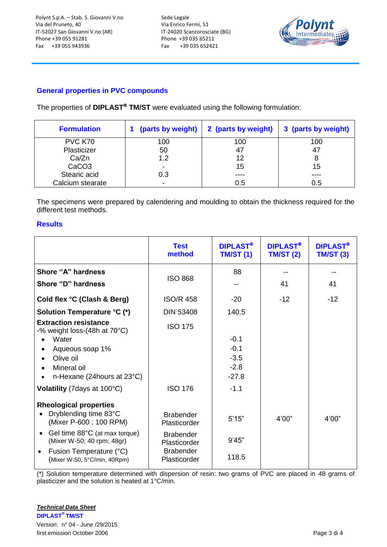Sede Legale Via Enrico Fermi, 51 IT-24020 Scanzorosciate (BG) Phone +39 035 65211 Fax +39 035 652421



## **General properties in PVC compounds**

The properties of **DIPLAST<sup>®</sup> TM/ST** were evaluated using the following formulation:

| <b>Formulation</b> |                          | (parts by weight)   2 (parts by weight) | 3 (parts by weight) |
|--------------------|--------------------------|-----------------------------------------|---------------------|
| PVC K70            | 100                      | 100                                     | 100                 |
| Plasticizer        | 50                       | 47                                      | 47                  |
| Ca/Zn              | 1.2                      | 12                                      | 8                   |
| CaCO <sub>3</sub>  | $\overline{\phantom{0}}$ | 15                                      | 15                  |
| Stearic acid       | 0.3                      | ----                                    | ----                |
| Calcium stearate   | ٠                        | 0.5                                     | 0.5                 |

The specimens were prepared by calendering and moulding to obtain the thickness required for the different test methods.

#### **Results**

|                                                                           | <b>Test</b><br>method            | <b>DIPLAST®</b><br><b>TM/ST (1)</b> | <b>DIPLAST®</b><br><b>TM/ST (2)</b> | <b>DIPLAST®</b><br><b>TM/ST (3)</b> |
|---------------------------------------------------------------------------|----------------------------------|-------------------------------------|-------------------------------------|-------------------------------------|
| Shore "A" hardness                                                        |                                  | 88                                  |                                     |                                     |
| Shore "D" hardness                                                        | <b>ISO 868</b>                   |                                     | 41                                  | 41                                  |
| Cold flex °C (Clash & Berg)                                               | <b>ISO/R 458</b>                 | $-20$                               | $-12$                               | $-12$                               |
| <b>Solution Temperature °C (*)</b>                                        | <b>DIN 53408</b>                 | 140.5                               |                                     |                                     |
| <b>Extraction resistance</b><br>-% weight loss- $(48h$ at $70^{\circ}$ C) | <b>ISO 175</b>                   |                                     |                                     |                                     |
| Water                                                                     |                                  | $-0.1$                              |                                     |                                     |
| Aqueous soap 1%                                                           |                                  | $-0.1$                              |                                     |                                     |
| Olive oil                                                                 |                                  | $-3.5$                              |                                     |                                     |
| Mineral oil<br>n-Hexane (24 hours at 23°C)                                |                                  | $-2.8$<br>$-27.8$                   |                                     |                                     |
| Volatility (7 days at 100°C)                                              | <b>ISO 176</b>                   | $-1.1$                              |                                     |                                     |
| <b>Rheological properties</b>                                             |                                  |                                     |                                     |                                     |
| Dryblending time 83°C<br>$\bullet$<br>(Mixer P-600 : 100 RPM)             | <b>Brabender</b><br>Plasticorder | 5'15"                               | 4'00"                               | 4'00"                               |
| Gel time 88°C (at max torque)<br>$\bullet$<br>(Mixer W-50; 40 rpm; 48gr)  | <b>Brabender</b><br>Plasticorder | 9'45"                               |                                     |                                     |
| Fusion Temperature (°C)<br>$\bullet$<br>(Mixer W-50, 5°C/min, 40Rpm)      | <b>Brabender</b><br>Plasticorder | 118.5                               |                                     |                                     |

(\*) Solution temperature determined with dispersion of resin: two grams of PVC are placed in 48 grams of plasticizer and the solution is heated at 1°C/min.

*Technical Data Sheet* **DIPLAST® TM/ST**  Version: n° 04 - June /29/2015 first emission October 2006 Page 3 di 4